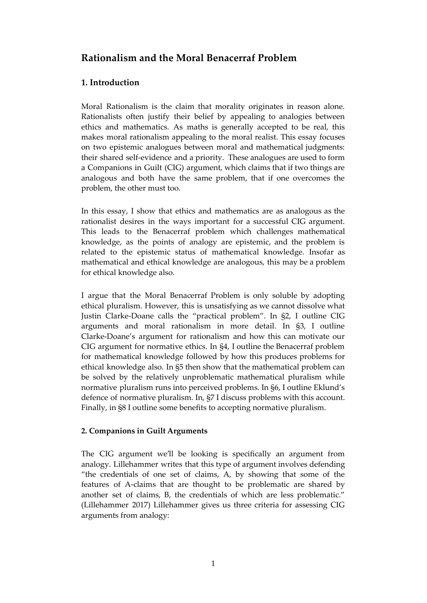# **Rationalism and the Moral Benacerraf Problem**

## **1. Introduction**

Moral Rationalism is the claim that morality originates in reason alone. Rationalists often justify their belief by appealing to analogies between ethics and mathematics. As maths is generally accepted to be real, this makes moral rationalism appealing to the moral realist. This essay focuses on two epistemic analogues between moral and mathematical judgments: their shared self-evidence and a priority. These analogues are used to form a Companions in Guilt (CIG) argument, which claims that if two things are analogous and both have the same problem, that if one overcomes the problem, the other must too.

In this essay, I show that ethics and mathematics are as analogous as the rationalist desires in the ways important for a successful CIG argument. This leads to the Benacerraf problem which challenges mathematical knowledge, as the points of analogy are epistemic, and the problem is related to the epistemic status of mathematical knowledge. Insofar as mathematical and ethical knowledge are analogous, this may be a problem for ethical knowledge also.

I argue that the Moral Benacerraf Problem is only soluble by adopting ethical pluralism. However, this is unsatisfying as we cannot dissolve what Justin Clarke-Doane calls the "practical problem". In §2, I outline CIG arguments and moral rationalism in more detail. In §3, I outline Clarke-Doane's argument for rationalism and how this can motivate our CIG argument for normative ethics. In §4, I outline the Benacerraf problem for mathematical knowledge followed by how this produces problems for ethical knowledge also. In §5 then show that the mathematical problem can be solved by the relatively unproblematic mathematical pluralism while normative pluralism runs into perceived problems. In §6, I outline Eklund's defence of normative pluralism. In, §7 I discuss problems with this account. Finally, in §8 I outline some benefits to accepting normative pluralism.

### **2. Companions in Guilt Arguments**

The CIG argument we'll be looking is specifically an argument from analogy. Lillehammer writes that this type of argument involves defending "the credentials of one set of claims, A, by showing that some of the features of A-claims that are thought to be problematic are shared by another set of claims, B, the credentials of which are less problematic." (Lillehammer 2017) Lillehammer gives us three criteria for assessing CIG arguments from analogy: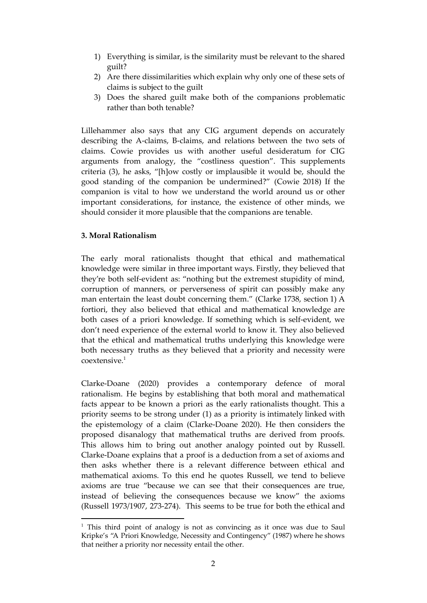- 1) Everything is similar, is the similarity must be relevant to the shared guilt?
- 2) Are there dissimilarities which explain why only one of these sets of claims is subject to the guilt
- 3) Does the shared guilt make both of the companions problematic rather than both tenable?

Lillehammer also says that any CIG argument depends on accurately describing the A-claims, B-claims, and relations between the two sets of claims. Cowie provides us with another useful desideratum for CIG arguments from analogy, the "costliness question". This supplements criteria (3), he asks, "[h]ow costly or implausible it would be, should the good standing of the companion be undermined?" (Cowie 2018) If the companion is vital to how we understand the world around us or other important considerations, for instance, the existence of other minds, we should consider it more plausible that the companions are tenable.

### **3. Moral Rationalism**

The early moral rationalists thought that ethical and mathematical knowledge were similar in three important ways. Firstly, they believed that they're both self-evident as: "nothing but the extremest stupidity of mind, corruption of manners, or perverseness of spirit can possibly make any man entertain the least doubt concerning them." (Clarke 1738, section 1) A fortiori, they also believed that ethical and mathematical knowledge are both cases of a priori knowledge. If something which is self-evident, we don't need experience of the external world to know it. They also believed that the ethical and mathematical truths underlying this knowledge were both necessary truths as they believed that a priority and necessity were coextensive. 1

Clarke-Doane (2020) provides a contemporary defence of moral rationalism. He begins by establishing that both moral and mathematical facts appear to be known a priori as the early rationalists thought. This a priority seems to be strong under (1) as a priority is intimately linked with the epistemology of a claim (Clarke-Doane 2020). He then considers the proposed disanalogy that mathematical truths are derived from proofs. This allows him to bring out another analogy pointed out by Russell. Clarke-Doane explains that a proof is a deduction from a set of axioms and then asks whether there is a relevant difference between ethical and mathematical axioms. To this end he quotes Russell, we tend to believe axioms are true "because we can see that their consequences are true, instead of believing the consequences because we know" the axioms (Russell 1973/1907, 273-274). This seems to be true for both the ethical and

 $1$  This third point of analogy is not as convincing as it once was due to Saul Kripke's "A Priori Knowledge, Necessity and Contingency" (1987) where he shows that neither a priority nor necessity entail the other.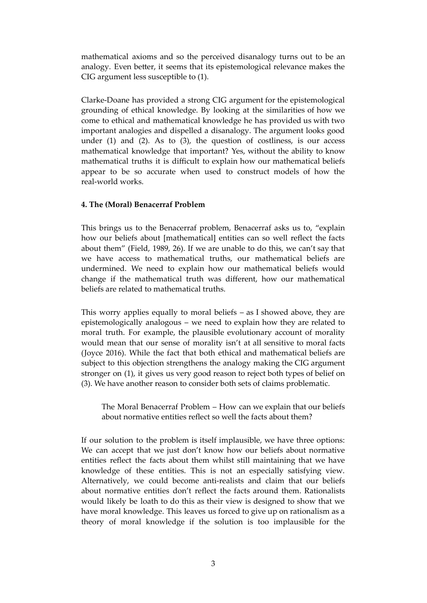mathematical axioms and so the perceived disanalogy turns out to be an analogy. Even better, it seems that its epistemological relevance makes the CIG argument less susceptible to (1).

Clarke-Doane has provided a strong CIG argument for the epistemological grounding of ethical knowledge. By looking at the similarities of how we come to ethical and mathematical knowledge he has provided us with two important analogies and dispelled a disanalogy. The argument looks good under  $(1)$  and  $(2)$ . As to  $(3)$ , the question of costliness, is our access mathematical knowledge that important? Yes, without the ability to know mathematical truths it is difficult to explain how our mathematical beliefs appear to be so accurate when used to construct models of how the real-world works.

#### **4. The (Moral) Benacerraf Problem**

This brings us to the Benacerraf problem, Benacerraf asks us to, "explain how our beliefs about [mathematical] entities can so well reflect the facts about them" (Field, 1989, 26). If we are unable to do this, we can't say that we have access to mathematical truths, our mathematical beliefs are undermined. We need to explain how our mathematical beliefs would change if the mathematical truth was different, how our mathematical beliefs are related to mathematical truths.

This worry applies equally to moral beliefs – as I showed above, they are epistemologically analogous – we need to explain how they are related to moral truth. For example, the plausible evolutionary account of morality would mean that our sense of morality isn't at all sensitive to moral facts (Joyce 2016). While the fact that both ethical and mathematical beliefs are subject to this objection strengthens the analogy making the CIG argument stronger on (1), it gives us very good reason to reject both types of belief on (3). We have another reason to consider both sets of claims problematic.

The Moral Benacerraf Problem – How can we explain that our beliefs about normative entities reflect so well the facts about them?

If our solution to the problem is itself implausible, we have three options: We can accept that we just don't know how our beliefs about normative entities reflect the facts about them whilst still maintaining that we have knowledge of these entities. This is not an especially satisfying view. Alternatively, we could become anti-realists and claim that our beliefs about normative entities don't reflect the facts around them. Rationalists would likely be loath to do this as their view is designed to show that we have moral knowledge. This leaves us forced to give up on rationalism as a theory of moral knowledge if the solution is too implausible for the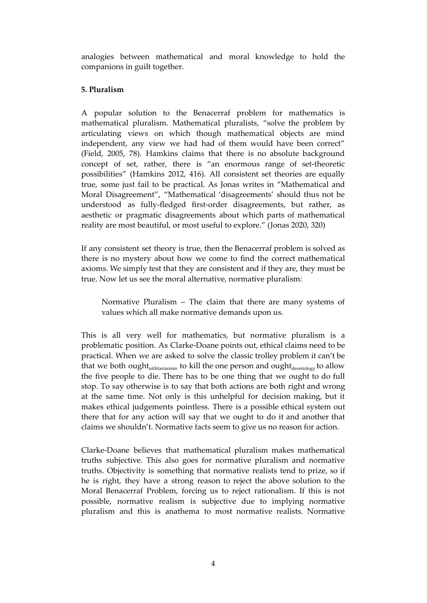analogies between mathematical and moral knowledge to hold the companions in guilt together.

### **5. Pluralism**

A popular solution to the Benacerraf problem for mathematics is mathematical pluralism. Mathematical pluralists, "solve the problem by articulating views on which though mathematical objects are mind independent, any view we had had of them would have been correct" (Field, 2005, 78). Hamkins claims that there is no absolute background concept of set, rather, there is "an enormous range of set-theoretic possibilities" (Hamkins 2012, 416). All consistent set theories are equally true, some just fail to be practical. As Jonas writes in "Mathematical and Moral Disagreement", "Mathematical 'disagreements' should thus not be understood as fully-fledged first-order disagreements, but rather, as aesthetic or pragmatic disagreements about which parts of mathematical reality are most beautiful, or most useful to explore." (Jonas 2020, 320)

If any consistent set theory is true, then the Benacerraf problem is solved as there is no mystery about how we come to find the correct mathematical axioms. We simply test that they are consistent and if they are, they must be true. Now let us see the moral alternative, normative pluralism:

Normative Pluralism – The claim that there are many systems of values which all make normative demands upon us.

This is all very well for mathematics, but normative pluralism is a problematic position. As Clarke-Doane points out, ethical claims need to be practical. When we are asked to solve the classic trolley problem it can't be that we both ought<sub>utilitarianism</sub> to kill the one person and ought<sub>deontology</sub> to allow the five people to die. There has to be one thing that we ought to do full stop. To say otherwise is to say that both actions are both right and wrong at the same time. Not only is this unhelpful for decision making, but it makes ethical judgements pointless. There is a possible ethical system out there that for any action will say that we ought to do it and another that claims we shouldn't. Normative facts seem to give us no reason for action.

Clarke-Doane believes that mathematical pluralism makes mathematical truths subjective. This also goes for normative pluralism and normative truths. Objectivity is something that normative realists tend to prize, so if he is right, they have a strong reason to reject the above solution to the Moral Benacerraf Problem, forcing us to reject rationalism. If this is not possible, normative realism is subjective due to implying normative pluralism and this is anathema to most normative realists. Normative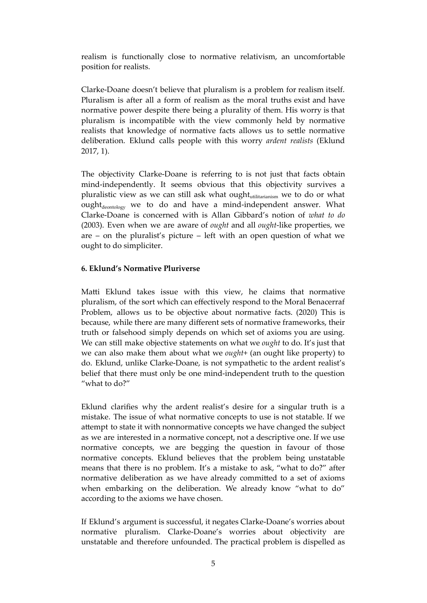realism is functionally close to normative relativism, an uncomfortable position for realists.

Clarke-Doane doesn't believe that pluralism is a problem for realism itself. Pluralism is after all a form of realism as the moral truths exist and have normative power despite there being a plurality of them. His worry is that pluralism is incompatible with the view commonly held by normative realists that knowledge of normative facts allows us to settle normative deliberation. Eklund calls people with this worry *ardent realists* (Eklund 2017, 1).

The objectivity Clarke-Doane is referring to is not just that facts obtain mind-independently. It seems obvious that this objectivity survives a pluralistic view as we can still ask what ought<sub>utilitarianism</sub> we to do or what ought<sub>deontology</sub> we to do and have a mind-independent answer. What Clarke-Doane is concerned with is Allan Gibbard's notion of *what to do* (2003). Even when we are aware of *ought* and all *ought*-like properties, we are – on the pluralist's picture – left with an open question of what we ought to do simpliciter.

#### **6. Eklund's Normative Pluriverse**

Matti Eklund takes issue with this view, he claims that normative pluralism, of the sort which can effectively respond to the Moral Benacerraf Problem, allows us to be objective about normative facts. (2020) This is because, while there are many different sets of normative frameworks, their truth or falsehood simply depends on which set of axioms you are using. We can still make objective statements on what we *ought* to do. It's just that we can also make them about what we *ought*+ (an ought like property) to do. Eklund, unlike Clarke-Doane, is not sympathetic to the ardent realist's belief that there must only be one mind-independent truth to the question "what to do?"

Eklund clarifies why the ardent realist's desire for a singular truth is a mistake. The issue of what normative concepts to use is not statable. If we attempt to state it with nonnormative concepts we have changed the subject as we are interested in a normative concept, not a descriptive one. If we use normative concepts, we are begging the question in favour of those normative concepts. Eklund believes that the problem being unstatable means that there is no problem. It's a mistake to ask, "what to do?" after normative deliberation as we have already committed to a set of axioms when embarking on the deliberation. We already know "what to do" according to the axioms we have chosen.

If Eklund's argument is successful, it negates Clarke-Doane's worries about normative pluralism. Clarke-Doane's worries about objectivity are unstatable and therefore unfounded. The practical problem is dispelled as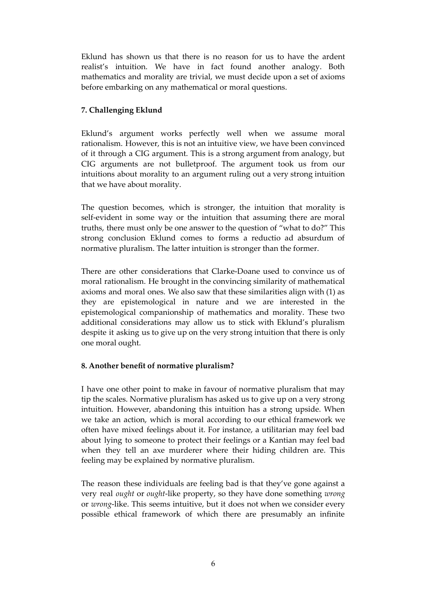Eklund has shown us that there is no reason for us to have the ardent realist's intuition. We have in fact found another analogy. Both mathematics and morality are trivial, we must decide upon a set of axioms before embarking on any mathematical or moral questions.

### **7. Challenging Eklund**

Eklund's argument works perfectly well when we assume moral rationalism. However, this is not an intuitive view, we have been convinced of it through a CIG argument. This is a strong argument from analogy, but CIG arguments are not bulletproof. The argument took us from our intuitions about morality to an argument ruling out a very strong intuition that we have about morality.

The question becomes, which is stronger, the intuition that morality is self-evident in some way or the intuition that assuming there are moral truths, there must only be one answer to the question of "what to do?" This strong conclusion Eklund comes to forms a reductio ad absurdum of normative pluralism. The latter intuition is stronger than the former.

There are other considerations that Clarke-Doane used to convince us of moral rationalism. He brought in the convincing similarity of mathematical axioms and moral ones. We also saw that these similarities align with (1) as they are epistemological in nature and we are interested in the epistemological companionship of mathematics and morality. These two additional considerations may allow us to stick with Eklund's pluralism despite it asking us to give up on the very strong intuition that there is only one moral ought.

### **8. Another benefit of normative pluralism?**

I have one other point to make in favour of normative pluralism that may tip the scales. Normative pluralism has asked us to give up on a very strong intuition. However, abandoning this intuition has a strong upside. When we take an action, which is moral according to our ethical framework we often have mixed feelings about it. For instance, a utilitarian may feel bad about lying to someone to protect their feelings or a Kantian may feel bad when they tell an axe murderer where their hiding children are. This feeling may be explained by normative pluralism.

The reason these individuals are feeling bad is that they've gone against a very real *ought* or *ought*-like property, so they have done something *wrong* or *wrong*-like. This seems intuitive, but it does not when we consider every possible ethical framework of which there are presumably an infinite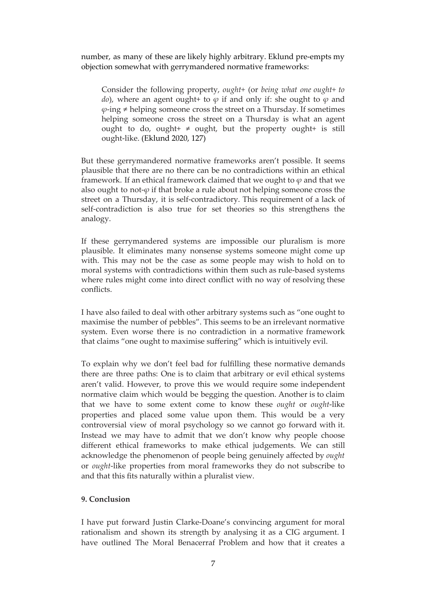number, as many of these are likely highly arbitrary. Eklund pre-empts my objection somewhat with gerrymandered normative frameworks:

Consider the following property, *ought+* (or *being what one ought+ to do*), where an agent ought+ to  $\varphi$  if and only if: she ought to  $\varphi$  and  $\varphi$ -ing  $\neq$  helping someone cross the street on a Thursday. If sometimes helping someone cross the street on a Thursday is what an agent ought to do, ought+  $\neq$  ought, but the property ought+ is still ought-like. (Eklund 2020, 127)

But these gerrymandered normative frameworks aren't possible. It seems plausible that there are no there can be no contradictions within an ethical framework. If an ethical framework claimed that we ought to *φ* and that we also ought to not-*φ* if that broke a rule about not helping someone cross the street on a Thursday, it is self-contradictory. This requirement of a lack of self-contradiction is also true for set theories so this strengthens the analogy.

If these gerrymandered systems are impossible our pluralism is more plausible. It eliminates many nonsense systems someone might come up with. This may not be the case as some people may wish to hold on to moral systems with contradictions within them such as rule-based systems where rules might come into direct conflict with no way of resolving these conflicts.

I have also failed to deal with other arbitrary systems such as "one ought to maximise the number of pebbles". This seems to be an irrelevant normative system. Even worse there is no contradiction in a normative framework that claims "one ought to maximise suffering" which is intuitively evil.

To explain why we don't feel bad for fulfilling these normative demands there are three paths: One is to claim that arbitrary or evil ethical systems aren't valid. However, to prove this we would require some independent normative claim which would be begging the question. Another is to claim that we have to some extent come to know these *ought* or *ought*-like properties and placed some value upon them. This would be a very controversial view of moral psychology so we cannot go forward with it. Instead we may have to admit that we don't know why people choose different ethical frameworks to make ethical judgements. We can still acknowledge the phenomenon of people being genuinely affected by *ought* or *ought*-like properties from moral frameworks they do not subscribe to and that this fits naturally within a pluralist view.

### **9. Conclusion**

I have put forward Justin Clarke-Doane's convincing argument for moral rationalism and shown its strength by analysing it as a CIG argument. I have outlined The Moral Benacerraf Problem and how that it creates a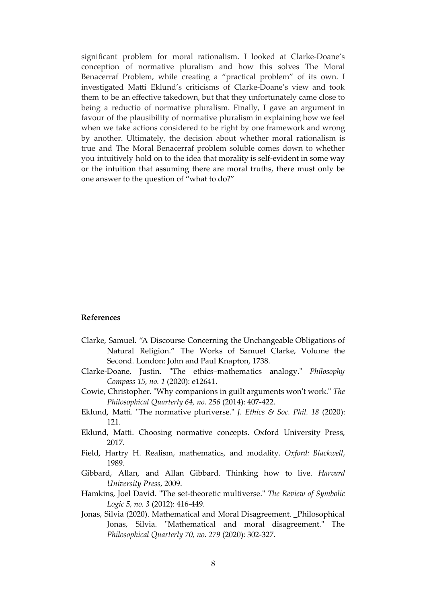significant problem for moral rationalism. I looked at Clarke-Doane's conception of normative pluralism and how this solves The Moral Benacerraf Problem, while creating a "practical problem" of its own. I investigated Matti Eklund's criticisms of Clarke-Doane's view and took them to be an effective takedown, but that they unfortunately came close to being a reductio of normative pluralism. Finally, I gave an argument in favour of the plausibility of normative pluralism in explaining how we feel when we take actions considered to be right by one framework and wrong by another. Ultimately, the decision about whether moral rationalism is true and The Moral Benacerraf problem soluble comes down to whether you intuitively hold on to the idea that morality is self-evident in some way or the intuition that assuming there are moral truths, there must only be one answer to the question of "what to do?"

#### **References**

- Clarke, Samuel. "A Discourse Concerning the Unchangeable Obligations of Natural Religion." The Works of Samuel Clarke, Volume the Second. London: John and Paul Knapton, 1738.
- Clarke‐Doane, Justin. "The ethics–mathematics analogy." *Philosophy Compass 15, no. 1* (2020): e12641.
- Cowie, Christopher. "Why companions in guilt arguments won't work." *The Philosophical Quarterly 64, no. 256* (2014): 407-422.
- Eklund, Matti. "The normative pluriverse." *J. Ethics & Soc. Phil. 18* (2020): 121.
- Eklund, Matti. Choosing normative concepts. Oxford University Press, 2017.
- Field, Hartry H. Realism, mathematics, and modality. *Oxford: Blackwell*, 1989.
- Gibbard, Allan, and Allan Gibbard. Thinking how to live. *Harvard University Press*, 2009.
- Hamkins, Joel David. "The set-theoretic multiverse." *The Review of Symbolic Logic 5, no. 3* (2012): 416-449.
- Jonas, Silvia (2020). Mathematical and Moral Disagreement. \_Philosophical Jonas, Silvia. "Mathematical and moral disagreement." The *Philosophical Quarterly 70, no. 279* (2020): 302-327.